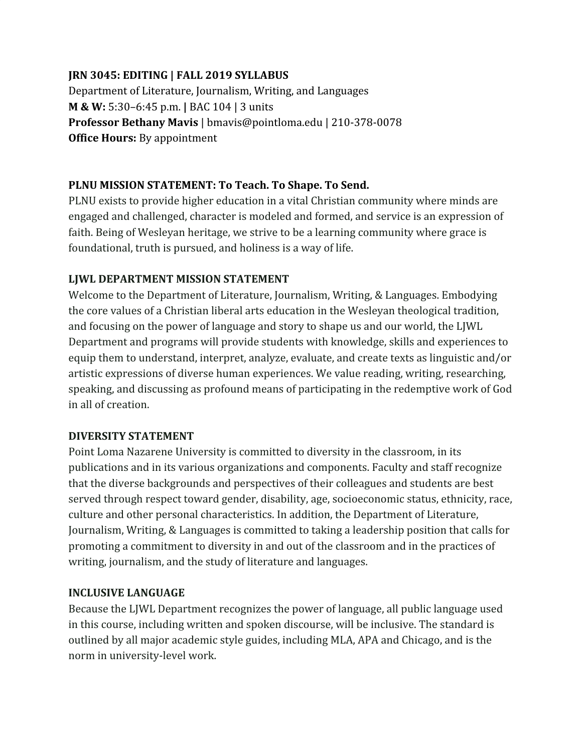#### **JRN 3045: EDITING | FALL 2019 SYLLABUS**

Department of Literature, Journalism, Writing, and Languages **M & W:** 5:30–6:45 p.m. **|** BAC 104 | 3 units **Professor Bethany Mavis** | bmavis@pointloma.edu | 210-378-0078 **Office Hours:** By appointment

### **PLNU MISSION STATEMENT: To Teach. To Shape. To Send.**

PLNU exists to provide higher education in a vital Christian community where minds are engaged and challenged, character is modeled and formed, and service is an expression of faith. Being of Wesleyan heritage, we strive to be a learning community where grace is foundational, truth is pursued, and holiness is a way of life.

#### **LJWL DEPARTMENT MISSION STATEMENT**

Welcome to the Department of Literature, Journalism, Writing, & Languages. Embodying the core values of a Christian liberal arts education in the Wesleyan theological tradition, and focusing on the power of language and story to shape us and our world, the LJWL Department and programs will provide students with knowledge, skills and experiences to equip them to understand, interpret, analyze, evaluate, and create texts as linguistic and/or artistic expressions of diverse human experiences. We value reading, writing, researching, speaking, and discussing as profound means of participating in the redemptive work of God in all of creation.

### **DIVERSITY STATEMENT**

Point Loma Nazarene University is committed to diversity in the classroom, in its publications and in its various organizations and components. Faculty and staff recognize that the diverse backgrounds and perspectives of their colleagues and students are best served through respect toward gender, disability, age, socioeconomic status, ethnicity, race, culture and other personal characteristics. In addition, the Department of Literature, Journalism, Writing, & Languages is committed to taking a leadership position that calls for promoting a commitment to diversity in and out of the classroom and in the practices of writing, journalism, and the study of literature and languages.

#### **INCLUSIVE LANGUAGE**

Because the LJWL Department recognizes the power of language, all public language used in this course, including written and spoken discourse, will be inclusive. The standard is outlined by all major academic style guides, including MLA, APA and Chicago, and is the norm in university-level work.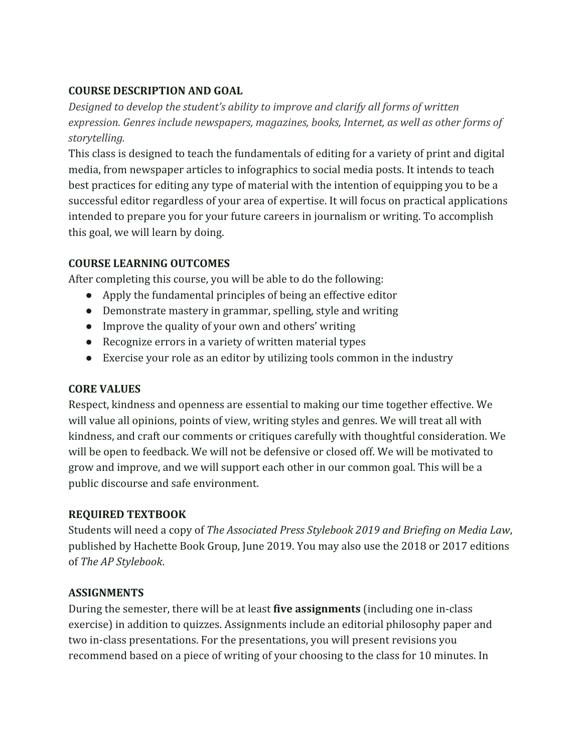### **COURSE DESCRIPTION AND GOAL**

*Designed to develop the student's ability to improve and clarify all forms of written expression. Genres include newspapers, magazines, books, Internet, as well as other forms of storytelling.*

This class is designed to teach the fundamentals of editing for a variety of print and digital media, from newspaper articles to infographics to social media posts. It intends to teach best practices for editing any type of material with the intention of equipping you to be a successful editor regardless of your area of expertise. It will focus on practical applications intended to prepare you for your future careers in journalism or writing. To accomplish this goal, we will learn by doing.

# **COURSE LEARNING OUTCOMES**

After completing this course, you will be able to do the following:

- Apply the fundamental principles of being an effective editor
- Demonstrate mastery in grammar, spelling, style and writing
- Improve the quality of your own and others' writing
- Recognize errors in a variety of written material types
- Exercise your role as an editor by utilizing tools common in the industry

# **CORE VALUES**

Respect, kindness and openness are essential to making our time together effective. We will value all opinions, points of view, writing styles and genres. We will treat all with kindness, and craft our comments or critiques carefully with thoughtful consideration. We will be open to feedback. We will not be defensive or closed off. We will be motivated to grow and improve, and we will support each other in our common goal. This will be a public discourse and safe environment.

# **REQUIRED TEXTBOOK**

Students will need a copy of *The Associated Press Stylebook 2019 and Briefing on Media Law*, published by Hachette Book Group, June 2019. You may also use the 2018 or 2017 editions of *The AP Stylebook*.

# **ASSIGNMENTS**

During the semester, there will be at least **five assignments** (including one in-class exercise) in addition to quizzes. Assignments include an editorial philosophy paper and two in-class presentations. For the presentations, you will present revisions you recommend based on a piece of writing of your choosing to the class for 10 minutes. In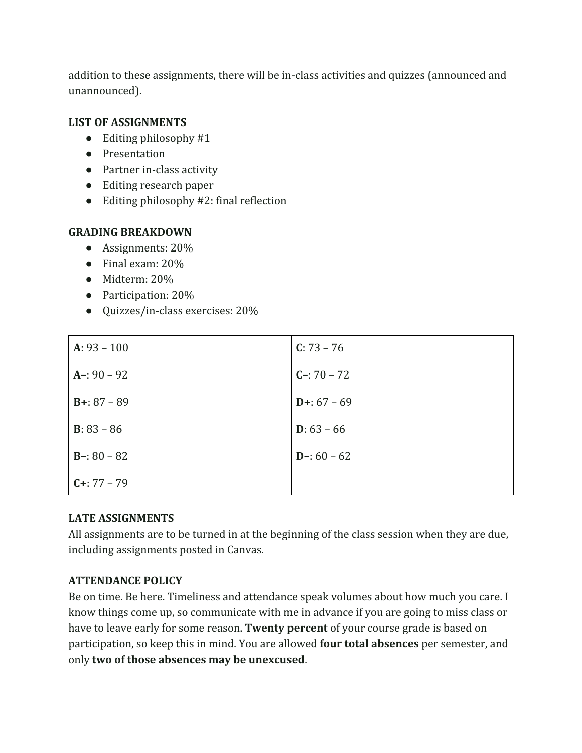addition to these assignments, there will be in-class activities and quizzes (announced and unannounced).

### **LIST OF ASSIGNMENTS**

- $\bullet$  Editing philosophy #1
- Presentation
- Partner in-class activity
- Editing research paper
- Editing philosophy #2: final reflection

### **GRADING BREAKDOWN**

- Assignments: 20%
- Final exam: 20%
- Midterm: 20%
- Participation: 20%
- Quizzes/in-class exercises: 20%

| $A: 93 - 100$        | $C: 73 - 76$         |
|----------------------|----------------------|
| $A - 90 - 92$        | $C - 70 - 72$        |
| $B+: 87 - 89$        | $D+: 67 - 69$        |
| <b>B</b> : $83 - 86$ | <b>D</b> : $63 - 66$ |
| $B - 80 - 82$        | $D-: 60 - 62$        |
| $C+: 77 - 79$        |                      |

### **LATE ASSIGNMENTS**

All assignments are to be turned in at the beginning of the class session when they are due, including assignments posted in Canvas.

### **ATTENDANCE POLICY**

Be on time. Be here. Timeliness and attendance speak volumes about how much you care. I know things come up, so communicate with me in advance if you are going to miss class or have to leave early for some reason. **Twenty percent** of your course grade is based on participation, so keep this in mind. You are allowed **four total absences** per semester, and only **two of those absences may be unexcused**.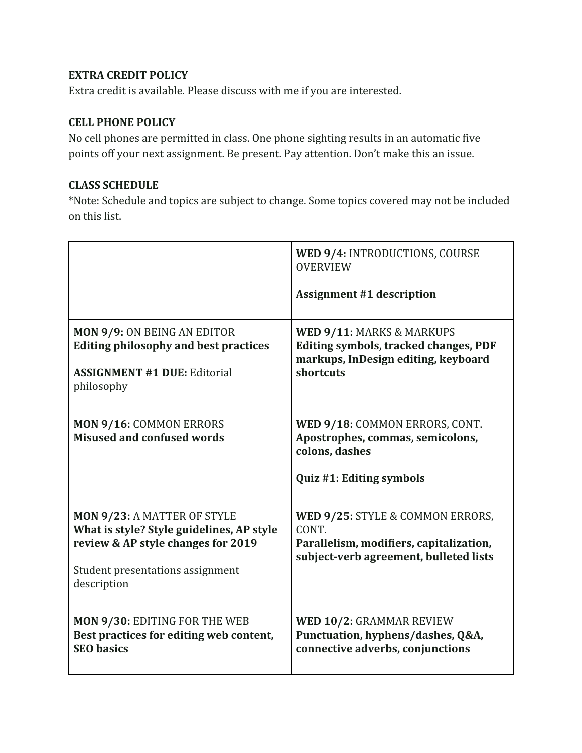### **EXTRA CREDIT POLICY**

Extra credit is available. Please discuss with me if you are interested.

#### **CELL PHONE POLICY**

No cell phones are permitted in class. One phone sighting results in an automatic five points off your next assignment. Be present. Pay attention. Don't make this an issue.

#### **CLASS SCHEDULE**

\*Note: Schedule and topics are subject to change. Some topics covered may not be included on this list.

|                                                                                                                                                                   | WED 9/4: INTRODUCTIONS, COURSE<br><b>OVERVIEW</b><br><b>Assignment #1 description</b>                                          |
|-------------------------------------------------------------------------------------------------------------------------------------------------------------------|--------------------------------------------------------------------------------------------------------------------------------|
| <b>MON 9/9: ON BEING AN EDITOR</b><br><b>Editing philosophy and best practices</b><br><b>ASSIGNMENT #1 DUE: Editorial</b><br>philosophy                           | WED 9/11: MARKS & MARKUPS<br><b>Editing symbols, tracked changes, PDF</b><br>markups, InDesign editing, keyboard<br>shortcuts  |
| MON 9/16: COMMON ERRORS<br><b>Misused and confused words</b>                                                                                                      | WED 9/18: COMMON ERRORS, CONT.<br>Apostrophes, commas, semicolons,<br>colons, dashes<br>Quiz #1: Editing symbols               |
| MON 9/23: A MATTER OF STYLE<br>What is style? Style guidelines, AP style<br>review & AP style changes for 2019<br>Student presentations assignment<br>description | WED 9/25: STYLE & COMMON ERRORS,<br>CONT.<br>Parallelism, modifiers, capitalization,<br>subject-verb agreement, bulleted lists |
| MON 9/30: EDITING FOR THE WEB<br>Best practices for editing web content,<br><b>SEO</b> basics                                                                     | WED 10/2: GRAMMAR REVIEW<br>Punctuation, hyphens/dashes, Q&A,<br>connective adverbs, conjunctions                              |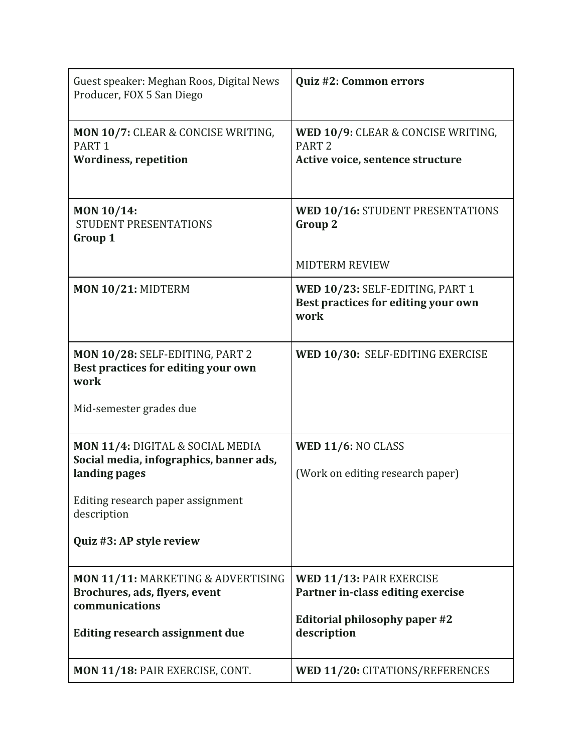| Guest speaker: Meghan Roos, Digital News<br>Producer, FOX 5 San Diego                                                                            | Quiz #2: Common errors                                                                                        |
|--------------------------------------------------------------------------------------------------------------------------------------------------|---------------------------------------------------------------------------------------------------------------|
| MON 10/7: CLEAR & CONCISE WRITING,<br>PART <sub>1</sub><br><b>Wordiness, repetition</b>                                                          | WED 10/9: CLEAR & CONCISE WRITING,<br>PART <sub>2</sub><br>Active voice, sentence structure                   |
| MON 10/14:<br>STUDENT PRESENTATIONS<br>Group 1                                                                                                   | WED 10/16: STUDENT PRESENTATIONS<br><b>Group 2</b><br><b>MIDTERM REVIEW</b>                                   |
| MON 10/21: MIDTERM                                                                                                                               | WED 10/23: SELF-EDITING, PART 1<br>Best practices for editing your own<br>work                                |
| MON 10/28: SELF-EDITING, PART 2<br>Best practices for editing your own<br>work                                                                   | WED 10/30: SELF-EDITING EXERCISE                                                                              |
| Mid-semester grades due                                                                                                                          |                                                                                                               |
| MON 11/4: DIGITAL & SOCIAL MEDIA<br>Social media, infographics, banner ads,<br>landing pages<br>Editing research paper assignment<br>description | WED 11/6: NO CLASS<br>(Work on editing research paper)                                                        |
| Quiz #3: AP style review                                                                                                                         |                                                                                                               |
| MON 11/11: MARKETING & ADVERTISING<br>Brochures, ads, flyers, event<br>communications<br>Editing research assignment due                         | WED 11/13: PAIR EXERCISE<br>Partner in-class editing exercise<br>Editorial philosophy paper #2<br>description |
| MON 11/18: PAIR EXERCISE, CONT.                                                                                                                  | WED 11/20: CITATIONS/REFERENCES                                                                               |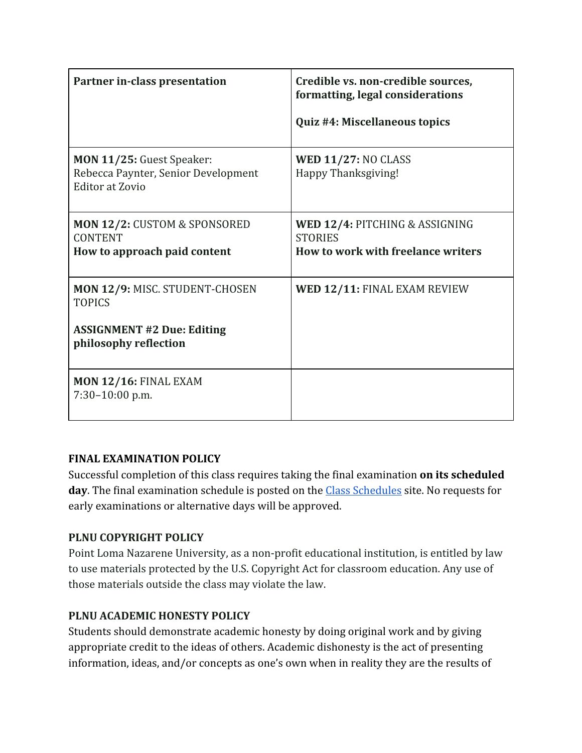| Partner in-class presentation                                                                                 | Credible vs. non-credible sources,<br>formatting, legal considerations<br>Quiz #4: Miscellaneous topics |
|---------------------------------------------------------------------------------------------------------------|---------------------------------------------------------------------------------------------------------|
| MON 11/25: Guest Speaker:<br>Rebecca Paynter, Senior Development<br><b>Editor at Zovio</b>                    | WED $11/27$ : NO CLASS<br>Happy Thanksgiving!                                                           |
| MON 12/2: CUSTOM & SPONSORED<br><b>CONTENT</b><br>How to approach paid content                                | WED 12/4: PITCHING & ASSIGNING<br><b>STORIES</b><br>How to work with freelance writers                  |
| MON 12/9: MISC. STUDENT-CHOSEN<br><b>TOPICS</b><br><b>ASSIGNMENT #2 Due: Editing</b><br>philosophy reflection | WED 12/11: FINAL EXAM REVIEW                                                                            |
| <b>MON 12/16: FINAL EXAM</b><br>7:30-10:00 p.m.                                                               |                                                                                                         |

### **FINAL EXAMINATION POLICY**

Successful completion of this class requires taking the final examination **on its scheduled** day. The final examination schedule is posted on the **Class Schedules** site. No requests for early examinations or alternative days will be approved.

### **PLNU COPYRIGHT POLICY**

Point Loma Nazarene University, as a non-profit educational institution, is entitled by law to use materials protected by the U.S. Copyright Act for classroom education. Any use of those materials outside the class may violate the law.

### **PLNU ACADEMIC HONESTY POLICY**

Students should demonstrate academic honesty by doing original work and by giving appropriate credit to the ideas of others. Academic dishonesty is the act of presenting information, ideas, and/or concepts as one's own when in reality they are the results of